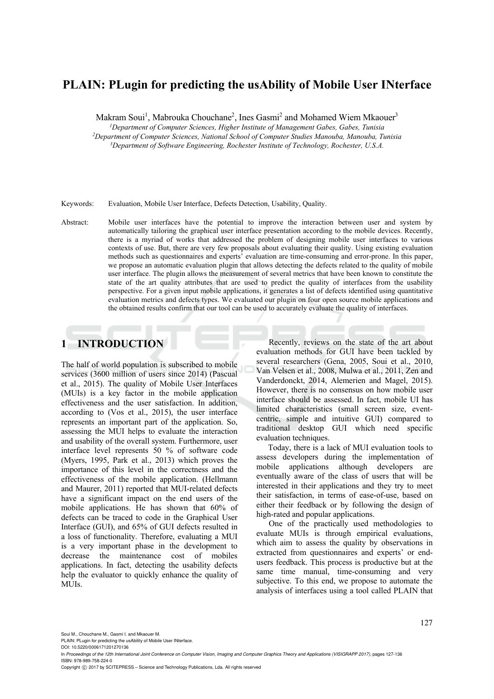# **PLAIN: PLugin for predicting the usAbility of Mobile User INterface**

Makram Soui<sup>1</sup>, Mabrouka Chouchane<sup>2</sup>, Ines Gasmi<sup>2</sup> and Mohamed Wiem Mkaouer<sup>3</sup>

*1 Department of Computer Sciences, Higher Institute of Management Gabes, Gabes, Tunisia* <sup>2</sup>Department of Computer Sciences, National School of Computer Studies Manouba, Manouba, Tunisia

<sup>3</sup>Department of Software Engineering, Rochester Institute of Technology, Rochester, U.S.A.

Keywords: Evaluation, Mobile User Interface, Defects Detection, Usability, Quality.

Abstract: Mobile user interfaces have the potential to improve the interaction between user and system by automatically tailoring the graphical user interface presentation according to the mobile devices. Recently, there is a myriad of works that addressed the problem of designing mobile user interfaces to various contexts of use. But, there are very few proposals about evaluating their quality. Using existing evaluation methods such as questionnaires and experts' evaluation are time-consuming and error-prone. In this paper, we propose an automatic evaluation plugin that allows detecting the defects related to the quality of mobile user interface. The plugin allows the measurement of several metrics that have been known to constitute the state of the art quality attributes that are used to predict the quality of interfaces from the usability perspective. For a given input mobile applications, it generates a list of defects identified using quantitative evaluation metrics and defects types. We evaluated our plugin on four open source mobile applications and the obtained results confirm that our tool can be used to accurately evaluate the quality of interfaces.

# **1 INTRODUCTION**

The half of world population is subscribed to mobile services (3600 million of users since 2014) (Pascual et al., 2015). The quality of Mobile User Interfaces (MUIs) is a key factor in the mobile application effectiveness and the user satisfaction. In addition, according to (Vos et al., 2015), the user interface represents an important part of the application. So, assessing the MUI helps to evaluate the interaction and usability of the overall system. Furthermore, user interface level represents 50 % of software code (Myers, 1995, Park et al., 2013) which proves the importance of this level in the correctness and the effectiveness of the mobile application. (Hellmann and Maurer, 2011) reported that MUI-related defects have a significant impact on the end users of the mobile applications. He has shown that 60% of defects can be traced to code in the Graphical User Interface (GUI), and 65% of GUI defects resulted in a loss of functionality. Therefore, evaluating a MUI is a very important phase in the development to decrease the maintenance cost of mobiles applications. In fact, detecting the usability defects help the evaluator to quickly enhance the quality of MUIs.

Recently, reviews on the state of the art about evaluation methods for GUI have been tackled by several researchers (Gena, 2005, Soui et al., 2010, Van Velsen et al., 2008, Mulwa et al., 2011, Zen and Vanderdonckt, 2014, Alemerien and Magel, 2015). However, there is no consensus on how mobile user interface should be assessed. In fact, mobile UI has limited characteristics (small screen size, eventcentric, simple and intuitive GUI) compared to traditional desktop GUI which need specific evaluation techniques.

Today, there is a lack of MUI evaluation tools to assess developers during the implementation of mobile applications although developers are eventually aware of the class of users that will be interested in their applications and they try to meet their satisfaction, in terms of ease-of-use, based on either their feedback or by following the design of high-rated and popular applications.

One of the practically used methodologies to evaluate MUIs is through empirical evaluations, which aim to assess the quality by observations in extracted from questionnaires and experts' or endusers feedback. This process is productive but at the same time manual, time-consuming and very subjective. To this end, we propose to automate the analysis of interfaces using a tool called PLAIN that

Soui M., Chouchane M., Gasmi I. and Mkaouer M.

PLAIN: PLugin for predicting the usAbility of Mobile User INterface. DOI: 10.5220/0006171201270136

In *Proceedings of the 12th International Joint Conference on Computer Vision, Imaging and Computer Graphics Theory and Applications (VISIGRAPP 2017)*, pages 127-136 ISBN: 978-989-758-224-0

Copyright (C) 2017 by SCITEPRESS - Science and Technology Publications, Lda. All rights reserved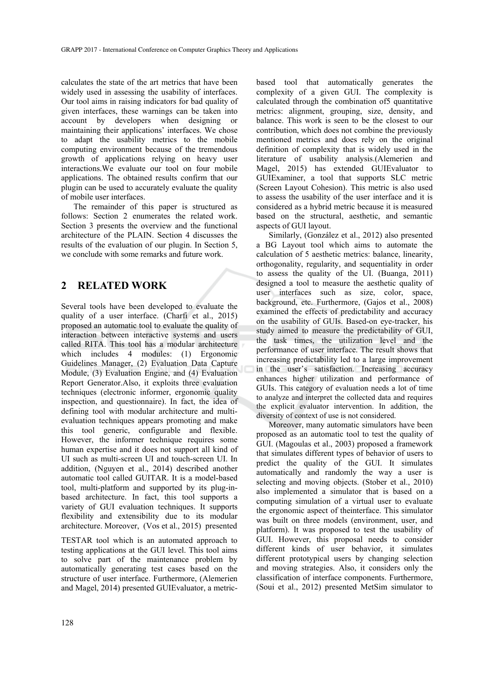calculates the state of the art metrics that have been widely used in assessing the usability of interfaces. Our tool aims in raising indicators for bad quality of given interfaces, these warnings can be taken into account by developers when designing or maintaining their applications' interfaces. We chose to adapt the usability metrics to the mobile computing environment because of the tremendous growth of applications relying on heavy user interactions.We evaluate our tool on four mobile applications. The obtained results confirm that our plugin can be used to accurately evaluate the quality of mobile user interfaces.

The remainder of this paper is structured as follows: Section 2 enumerates the related work. Section 3 presents the overview and the functional architecture of the PLAIN. Section 4 discusses the results of the evaluation of our plugin. In Section 5, we conclude with some remarks and future work.

# **2 RELATED WORK**

Several tools have been developed to evaluate the quality of a user interface. (Charfi et al., 2015) proposed an automatic tool to evaluate the quality of interaction between interactive systems and users called RITA. This tool has a modular architecture which includes 4 modules: (1) Ergonomic Guidelines Manager, (2) Evaluation Data Capture Module, (3) Evaluation Engine, and (4) Evaluation Report Generator.Also, it exploits three evaluation techniques (electronic informer, ergonomic quality inspection, and questionnaire). In fact, the idea of defining tool with modular architecture and multievaluation techniques appears promoting and make this tool generic, configurable and flexible. However, the informer technique requires some human expertise and it does not support all kind of UI such as multi-screen UI and touch-screen UI. In addition, (Nguyen et al., 2014) described another automatic tool called GUITAR. It is a model-based tool, multi-platform and supported by its plug-inbased architecture. In fact, this tool supports a variety of GUI evaluation techniques. It supports flexibility and extensibility due to its modular architecture. Moreover, (Vos et al., 2015) presented

TESTAR tool which is an automated approach to testing applications at the GUI level. This tool aims to solve part of the maintenance problem by automatically generating test cases based on the structure of user interface. Furthermore, (Alemerien and Magel, 2014) presented GUIEvaluator, a metric-

based tool that automatically generates the complexity of a given GUI. The complexity is calculated through the combination of5 quantitative metrics: alignment, grouping, size, density, and balance. This work is seen to be the closest to our contribution, which does not combine the previously mentioned metrics and does rely on the original definition of complexity that is widely used in the literature of usability analysis.(Alemerien and Magel, 2015) has extended GUIEvaluator to GUIExaminer, a tool that supports SLC metric (Screen Layout Cohesion). This metric is also used to assess the usability of the user interface and it is considered as a hybrid metric because it is measured based on the structural, aesthetic, and semantic aspects of GUI layout.

Similarly, (González et al., 2012) also presented a BG Layout tool which aims to automate the calculation of 5 aesthetic metrics: balance, linearity, orthogonality, regularity, and sequentiality in order to assess the quality of the UI. (Buanga, 2011) designed a tool to measure the aesthetic quality of user interfaces such as size, color, space, background, etc. Furthermore, (Gajos et al., 2008) examined the effects of predictability and accuracy on the usability of GUIs. Based-on eye-tracker, his study aimed to measure the predictability of GUI, the task times, the utilization level and the performance of user interface. The result shows that increasing predictability led to a large improvement in the user's satisfaction. Increasing accuracy enhances higher utilization and performance of GUIs. This category of evaluation needs a lot of time to analyze and interpret the collected data and requires the explicit evaluator intervention. In addition, the diversity of context of use is not considered.

Moreover, many automatic simulators have been proposed as an automatic tool to test the quality of GUI. (Magoulas et al., 2003) proposed a framework that simulates different types of behavior of users to predict the quality of the GUI. It simulates automatically and randomly the way a user is selecting and moving objects. (Stober et al., 2010) also implemented a simulator that is based on a computing simulation of a virtual user to evaluate the ergonomic aspect of theinterface. This simulator was built on three models (environment, user, and platform). It was proposed to test the usability of GUI. However, this proposal needs to consider different kinds of user behavior, it simulates different prototypical users by changing selection and moving strategies. Also, it considers only the classification of interface components. Furthermore, (Soui et al., 2012) presented MetSim simulator to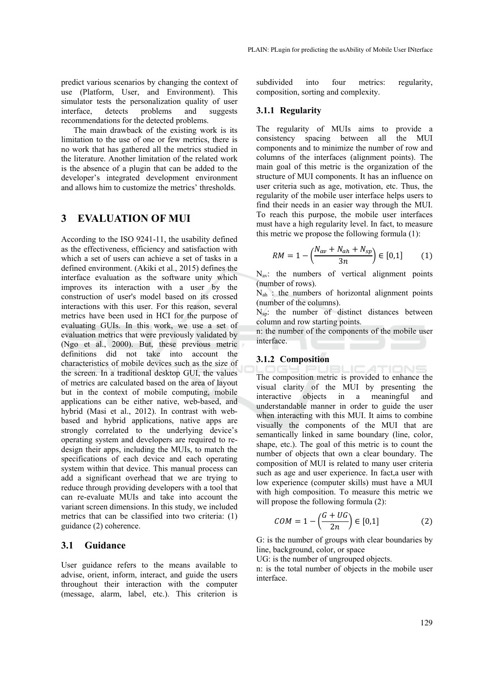predict various scenarios by changing the context of use (Platform, User, and Environment). This simulator tests the personalization quality of user interface, detects problems and suggests recommendations for the detected problems.

The main drawback of the existing work is its limitation to the use of one or few metrics, there is no work that has gathered all the metrics studied in the literature. Another limitation of the related work is the absence of a plugin that can be added to the developer's integrated development environment and allows him to customize the metrics' thresholds.

# **3 EVALUATION OF MUI**

According to the ISO 9241-11, the usability defined as the effectiveness, efficiency and satisfaction with which a set of users can achieve a set of tasks in a defined environment. (Akiki et al., 2015) defines the interface evaluation as the software unity which improves its interaction with a user by the construction of user's model based on its crossed interactions with this user. For this reason, several metrics have been used in HCI for the purpose of evaluating GUIs. In this work, we use a set of evaluation metrics that were previously validated by (Ngo et al., 2000). But, these previous metric definitions did not take into account the characteristics of mobile devices such as the size of the screen. In a traditional desktop GUI, the values of metrics are calculated based on the area of layout but in the context of mobile computing, mobile applications can be either native, web-based, and hybrid (Masi et al., 2012). In contrast with webbased and hybrid applications, native apps are strongly correlated to the underlying device's operating system and developers are required to redesign their apps, including the MUIs, to match the specifications of each device and each operating system within that device. This manual process can add a significant overhead that we are trying to reduce through providing developers with a tool that can re-evaluate MUIs and take into account the variant screen dimensions. In this study, we included metrics that can be classified into two criteria: (1) guidance (2) coherence.

## **3.1 Guidance**

User guidance refers to the means available to advise, orient, inform, interact, and guide the users throughout their interaction with the computer (message, alarm, label, etc.). This criterion is subdivided into four metrics: regularity, composition, sorting and complexity.

### **3.1.1 Regularity**

The regularity of MUIs aims to provide a consistency spacing between all the MUI components and to minimize the number of row and columns of the interfaces (alignment points). The main goal of this metric is the organization of the structure of MUI components. It has an influence on user criteria such as age, motivation, etc. Thus, the regularity of the mobile user interface helps users to find their needs in an easier way through the MUI. To reach this purpose, the mobile user interfaces must have a high regularity level. In fact, to measure this metric we propose the following formula (1):

$$
RM = 1 - \left(\frac{N_{av} + N_{ah} + N_{sp}}{3n}\right) \in [0,1]
$$
 (1)

 $N_{av}$ : the numbers of vertical alignment points (number of rows).

 $N_{ah}$ : the numbers of horizontal alignment points (number of the columns).

 $N<sub>SD</sub>$ : the number of distinct distances between column and row starting points.

n: the number of the components of the mobile user interface.

#### **3.1.2 Composition**

The composition metric is provided to enhance the visual clarity of the MUI by presenting the interactive objects in a meaningful and understandable manner in order to guide the user when interacting with this MUI. It aims to combine visually the components of the MUI that are semantically linked in same boundary (line, color, shape, etc.). The goal of this metric is to count the number of objects that own a clear boundary. The composition of MUI is related to many user criteria such as age and user experience. In fact,a user with low experience (computer skills) must have a MUI with high composition. To measure this metric we will propose the following formula  $(2)$ :

$$
COM = 1 - \left(\frac{G + UG}{2n}\right) \in [0, 1] \tag{2}
$$

G: is the number of groups with clear boundaries by line, background, color, or space

UG: is the number of ungrouped objects.

n: is the total number of objects in the mobile user interface.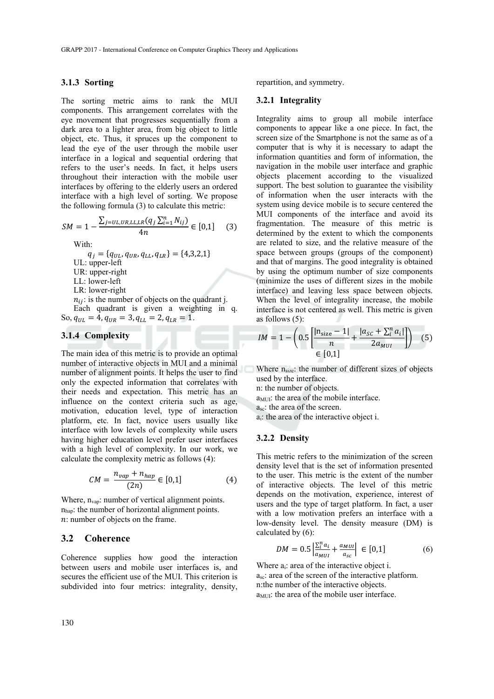## **3.1.3 Sorting**

The sorting metric aims to rank the MUI components. This arrangement correlates with the eye movement that progresses sequentially from a dark area to a lighter area, from big object to little object, etc. Thus, it spruces up the component to lead the eye of the user through the mobile user interface in a logical and sequential ordering that refers to the user's needs. In fact, it helps users throughout their interaction with the mobile user interfaces by offering to the elderly users an ordered interface with a high level of sorting. We propose the following formula (3) to calculate this metric:

$$
SM = 1 - \frac{\sum_{j=UL,UR,LL,LR} (q_j \sum_{i=1}^n N_{ij})}{4n} \in [0,1]
$$
 (3)

With:

 $q_i = \{q_{UL}, q_{UR}, q_{LL}, q_{LR}\} = \{4,3,2,1\}$ UL: upper-left UR: upper-right LL: lower-left LR: lower-right  $n_{ij}$ : is the number of objects on the quadrant j. Each quadrant is given a weighting in q. So,  $q_{UL} = 4$ ,  $q_{UR} = 3$ ,  $q_{LL} = 2$ ,  $q_{LR} = 1$ .

# **3.1.4 Complexity**

The main idea of this metric is to provide an optimal number of interactive objects in MUI and a minimal number of alignment points. It helps the user to find only the expected information that correlates with their needs and expectation. This metric has an influence on the context criteria such as age, motivation, education level, type of interaction platform, etc. In fact, novice users usually like interface with low levels of complexity while users having higher education level prefer user interfaces with a high level of complexity. In our work, we calculate the complexity metric as follows (4):

$$
CM = \frac{n_{vap} + n_{hap}}{(2n)} \in [0,1]
$$
 (4)

Where, n<sub>vap</sub>: number of vertical alignment points. nhap: the number of horizontal alignment points.  $n:$  number of objects on the frame.

### **3.2 Coherence**

Coherence supplies how good the interaction between users and mobile user interfaces is, and secures the efficient use of the MUI. This criterion is subdivided into four metrics: integrality, density, repartition, and symmetry.

# **3.2.1 Integrality**

Integrality aims to group all mobile interface components to appear like a one piece. In fact, the screen size of the Smartphone is not the same as of a computer that is why it is necessary to adapt the information quantities and form of information, the navigation in the mobile user interface and graphic objects placement according to the visualized support. The best solution to guarantee the visibility of information when the user interacts with the system using device mobile is to secure centered the MUI components of the interface and avoid its fragmentation. The measure of this metric is determined by the extent to which the components are related to size, and the relative measure of the space between groups (groups of the component) and that of margins. The good integrality is obtained by using the optimum number of size components (minimize the uses of different sizes in the mobile interface) and leaving less space between objects. When the level of integrality increase, the mobile interface is not centered as well. This metric is given as follows (5):

$$
IM = 1 - \left(0.5 \left[ \frac{\ln_{size} - 1}{n} + \frac{\left| a_{SC} + \sum_{i}^{n} a_{i} \right|}{2a_{MUI}} \right] \right) \tag{5}
$$

Where  $n_{size}$ : the number of different sizes of objects used by the interface.

n: the number of objects.

 $a_{\text{MUL}}$ : the area of the mobile interface.

asc: the area of the screen.

ai: the area of the interactive object i.

## **3.2.2 Density**

This metric refers to the minimization of the screen density level that is the set of information presented to the user. This metric is the extent of the number of interactive objects. The level of this metric depends on the motivation, experience, interest of users and the type of target platform. In fact, a user with a low motivation prefers an interface with a low-density level. The density measure (DM) is calculated by (6):

$$
DM = 0.5 \left| \frac{\sum_{i}^{n} a_{i}}{a_{MUI}} + \frac{a_{MUI}}{a_{sc}} \right| \in [0,1]
$$
 (6)

Where  $a_i$ : area of the interactive object i. asc: area of the screen of the interactive platform. n:the number of the interactive objects. a<sub>MUI</sub>: the area of the mobile user interface.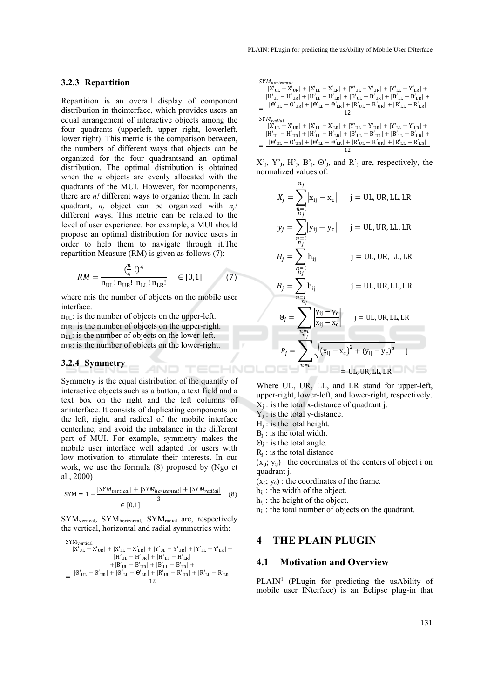#### **3.2.3 Repartition**

Repartition is an overall display of component distribution in theinterface, which provides users an equal arrangement of interactive objects among the four quadrants (upperleft, upper right, lowerleft, lower right). This metric is the comparison between, the numbers of different ways that objects can be organized for the four quadrantsand an optimal distribution. The optimal distribution is obtained when the *n* objects are evenly allocated with the quadrants of the MUI. However, for ncomponents, there are *n!* different ways to organize them. In each quadrant, *nj* object can be organized with *nj!* different ways. This metric can be related to the level of user experience. For example, a MUI should propose an optimal distribution for novice users in order to help them to navigate through it.The repartition Measure (RM) is given as follows (7):

$$
RM = \frac{(\frac{n}{4}!)^4}{n_{UL}! n_{UR}! n_{LL}! n_{LR}!} \quad \in [0,1]
$$
 (7)

where n:is the number of objects on the mobile user interface.

 $n_{\text{UL}}$ : is the number of objects on the upper-left.  $n_{UR}$ : is the number of objects on the upper-right.  $n_{\text{UL}}$ : is the number of objects on the lower-left.  $n_{LR}$ : is the number of objects on the lower-right.

#### **3.2.4 Symmetry**

Symmetry is the equal distribution of the quantity of interactive objects such as a button, a text field and a text box on the right and the left columns of aninterface. It consists of duplicating components on the left, right, and radical of the mobile interface centerline, and avoid the imbalance in the different part of MUI. For example, symmetry makes the mobile user interface well adapted for users with low motivation to stimulate their interests. In our work, we use the formula (8) proposed by (Ngo et al., 2000)

$$
SYM = 1 - \frac{|SYM_{vertical}| + |SYM_{horizontal}| + |SYM_{radial}|}{3}
$$
(8)

SYMvertical, SYMhorizantal, SYMradial are, respectively the vertical, horizontal and radial symmetries with:

$$
SYM_{\rm vertical} \\ \begin{aligned} |X'_{\rm UL}-X'_{\rm UR}|+|X'_{\rm LL}-X'_{\rm LR}|+|Y'_{\rm UL}-Y'_{\rm UR}|+|Y'_{\rm LL}-Y'_{\rm LR}|+\\ &\hspace{1.5cm} |H'_{\rm UL}-H'_{\rm UR}|+|H'_{\rm LL}-H'_{\rm LR}|\\ +|B'_{\rm UL}-B'_{\rm UR}|+|B'_{\rm LL}-B'_{\rm LR}|+\\ =\frac{|{\boldsymbol \Theta'}_{\rm UL}-{\boldsymbol \Theta'}_{\rm UR}|+|{\boldsymbol \Theta'}_{\rm LL}-{\boldsymbol \Theta'}_{\rm LR}|+|R'_{\rm UL}-R'_{\rm UR}|+|R'_{\rm LL}-R'_{\rm LR}|}{12} \end{aligned}
$$

$$
\begin{split} &\label{eq:2.1} SYM_{horizontal} \\ &\hspace{0.1cm} |X'_{\rm UL}-X'_{\rm UR}|+|X'_{\rm LL}-X'_{\rm LR}|+|Y'_{\rm UL}-Y'_{\rm UR}|+|Y'_{\rm LL}-Y'_{\rm LR}|+\\ &\hspace{0.1cm} |H'_{\rm UL}-H'_{\rm UR}|+|H'_{\rm LL}-H'_{\rm LR}|+|B'_{\rm UL}-B'_{\rm UR}|+|B'_{\rm LL}-B'_{\rm LR}|+\\ &\hspace{0.1cm} -|\Theta'_{\rm UL}-\Theta'_{\rm UR}|+|\Theta'_{\rm LL}-\Theta'_{\rm LR}|+|R'_{\rm UL}-R'_{\rm UR}|+|R'_{\rm LL}-R'_{\rm LR}|+\\ &\hspace{0.1cm} 12 \\ &\hspace{0.1cm} SYM_{radial} \\ &\hspace{0.1cm} |X'_{\rm UL}-X'_{\rm UR}|+|X'_{\rm LL}-X'_{\rm LR}|+|Y'_{\rm UL}-Y'_{\rm UR}|+|Y'_{\rm LL}-Y'_{\rm LR}|+\\ &\hspace{0.1cm} |H'_{\rm UL}-H'_{\rm UR}|+|H'_{\rm LL}-H'_{\rm LR}|+|B'_{\rm UL}-B'_{\rm UR}|+|B'_{\rm LL}-B'_{\rm LR}|+\\ &\hspace{0.1cm} -|\Theta'_{\rm UL}-\Theta'_{\rm UR}|+|\Theta'_{\rm LL}-\Theta'_{\rm LR}|+|R'_{\rm UL}-R'_{\rm UR}|+|R'_{\rm LL}-R'_{\rm LR}|\\ &\hspace{0.1cm} 12 \end{split}
$$

 $X'$ <sub>i</sub>,  $Y'$ <sub>i</sub>,  $H'$ <sub>j</sub>,  $B'$ <sub>j</sub>,  $\Theta'$ <sub>j</sub>, and  $R'$ <sub>j</sub> are, respectively, the normalized values of:

However, for ncomponents,  
\nys to organize them. In each  
\nn be organized with 
$$
n_j!
$$
  
\n
$$
X_j = \sum_{\substack{n=i \ n_i \\ n_j}}^{\infty} |x_{ij} - x_c| \quad j = UL, UR, LL, LR
$$
\n
$$
y_j = \sum_{\substack{n=i \ n_i \\ n_j}}^{\infty} |y_{ij} - y_c| \quad j = UL, UR, LL, LR
$$
\n
$$
y_j = \sum_{\substack{n=i \ n_i \\ n_j}}^{\infty} |y_{ij} - y_c| \quad j = UL, UR, LL, LR
$$
\n
$$
y_j = \sum_{\substack{n=i \ n_i \\ n_j}}^{\infty} |y_{ij} - y_c| \quad j = UL, UR, LL, LR
$$
\n
$$
y_j = \sum_{\substack{n=i \ n_i \\ n_j}}^{\infty} |y_{ij} - y_c| \quad j = UL, UR, LL, LR
$$
\n
$$
y_j = \sum_{\substack{n=i \ n_i \\ n_j}}^{\infty} |y_{ij} - y_c| \quad j = UL, UR, LL, LR
$$
\n
$$
B_j = \sum_{\substack{n=i \ n_j \\ n_j}}^{\infty} |y_{ij} - y_c| \quad j = UL, UR, LL, LR
$$
\n
$$
Q_j = \sum_{\substack{n=i \ n_j \\ n_j}}^{\infty} \frac{|y_{ij} - y_c|}{|x_{ij} - x_c|} \quad j = UL, UR, LL, LR
$$
\n
$$
R_j = \sum_{\substack{n=i \ n_i \\ n_j}}^{\infty} \sqrt{(x_{ij} - x_c)^2 + (y_{ij} - y_c)^2} \quad j = UL, UR, LL, LR
$$

Where UL, UR, LL, and LR stand for upper-left, upper-right, lower-left, and lower-right, respectively.  $X_i$ : is the total x-distance of quadrant j.

- $Y_i$ : is the total y-distance.
- $H<sub>i</sub>$ : is the total height.
- $B_i$ : is the total width.
- $\Theta_i$ : is the total angle.
- $R_i$ : is the total distance

 $(x_{ii}; y_{ii})$ : the coordinates of the centers of object i on quadrant j.

- $(x_c; y_c)$ : the coordinates of the frame.
- $b_{ij}$ : the width of the object.
- $h_{ij}$ : the height of the object.
- $n_{ii}$ : the total number of objects on the quadrant.

# **4 THE PLAIN PLUGIN**

### **4.1 Motivation and Overview**

PLAIN<sup>1</sup> (PLugin for predicting the usAbility of mobile user INterface) is an Eclipse plug-in that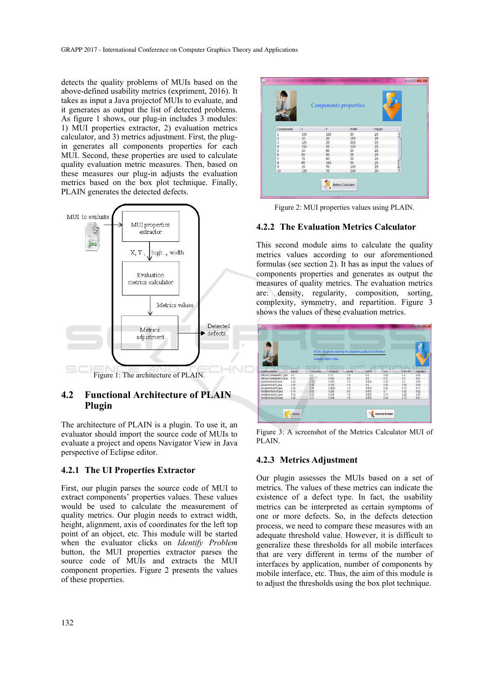detects the quality problems of MUIs based on the above-defined usability metrics (expriment, 2016). It takes as input a Java projectof MUIs to evaluate, and it generates as output the list of detected problems. As figure 1 shows, our plug-in includes 3 modules: 1) MUI properties extractor, 2) evaluation metrics calculator, and 3) metrics adjustment. First, the plugin generates all components properties for each MUI. Second, these properties are used to calculate quality evaluation metric measures. Then, based on these measures our plug-in adjusts the evaluation metrics based on the box plot technique. Finally, PLAIN generates the detected defects.



# **4.2 Functional Architecture of PLAIN Plugin**

The architecture of PLAIN is a plugin. To use it, an evaluator should import the source code of MUIs to evaluate a project and opens Navigator View in Java perspective of Eclipse editor.

### **4.2.1 The UI Properties Extractor**

First, our plugin parses the source code of MUI to extract components' properties values. These values would be used to calculate the measurement of quality metrics. Our plugin needs to extract width, height, alignment, axis of coordinates for the left top point of an object, etc. This module will be started when the evaluator clicks on *Identify Problem* button, the MUI properties extractor parses the source code of MUIs and extracts the MUI component properties. Figure 2 presents the values of these properties.



Figure 2: MUI properties values using PLAIN.

### **4.2.2 The Evaluation Metrics Calculator**

This second module aims to calculate the quality metrics values according to our aforementioned formulas (see section 2). It has as input the values of components properties and generates as output the measures of quality metrics. The evaluation metrics are: density, regularity, composition, sorting, complexity, symmetry, and repartition. Figure 3 shows the values of these evaluation metrics.



Figure 3: A screenshot of the Metrics Calculator MUI of PLAIN.

## **4.2.3 Metrics Adjustment**

Our plugin assesses the MUIs based on a set of metrics. The values of these metrics can indicate the existence of a defect type. In fact, the usability metrics can be interpreted as certain symptoms of one or more defects. So, in the defects detection process, we need to compare these measures with an adequate threshold value. However, it is difficult to generalize these thresholds for all mobile interfaces that are very different in terms of the number of interfaces by application, number of components by mobile interface, etc. Thus, the aim of this module is to adjust the thresholds using the box plot technique.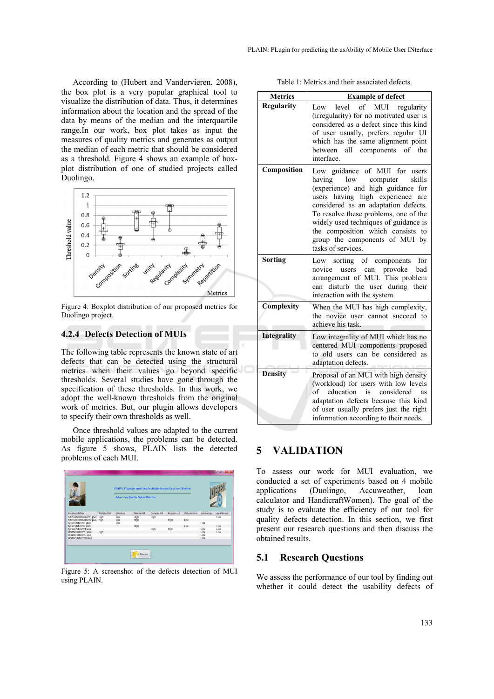According to (Hubert and Vandervieren, 2008), the box plot is a very popular graphical tool to visualize the distribution of data. Thus, it determines information about the location and the spread of the data by means of the median and the interquartile range.In our work, box plot takes as input the measures of quality metrics and generates as output the median of each metric that should be considered as a threshold. Figure 4 shows an example of boxplot distribution of one of studied projects called Duolingo.



Figure 4: Boxplot distribution of our proposed metrics for Duolingo project.

# **4.2.4 Defects Detection of MUIs**

The following table represents the known state of art defects that can be detected using the structural metrics when their values go beyond specific thresholds. Several studies have gone through the specification of these thresholds. In this work, we adopt the well-known thresholds from the original work of metrics. But, our plugin allows developers to specify their own thresholds as well.

Once threshold values are adapted to the current mobile applications, the problems can be detected. As figure 5 shows, PLAIN lists the detected problems of each MUI.



Figure 5: A screenshot of the defects detection of MUI using PLAIN.

|  |  | Table 1: Metrics and their associated defects. |  |
|--|--|------------------------------------------------|--|
|  |  |                                                |  |

| <b>Metrics</b>     | <b>Example of defect</b>                                                                                                                                                                                                                                                                                                                                           |  |  |  |  |
|--------------------|--------------------------------------------------------------------------------------------------------------------------------------------------------------------------------------------------------------------------------------------------------------------------------------------------------------------------------------------------------------------|--|--|--|--|
| <b>Regularity</b>  | of MUI regularity<br>level<br>Low<br>(irregularity) for no motivated user is<br>considered as a defect since this kind<br>of user usually, prefers regular UI<br>which has the same alignment point<br>between all components of the<br>interface.                                                                                                                 |  |  |  |  |
| Composition        | Low guidance of MUI for users<br>low computer skills<br>having<br>(experience) and high guidance for<br>users having high experience<br>are<br>considered as an adaptation defects.<br>To resolve these problems, one of the<br>widely used techniques of guidance is<br>the composition which consists to<br>group the components of MUI by<br>tasks of services. |  |  |  |  |
| Sorting            | Low sorting of components for<br>provoke<br>novice<br>users<br>bad<br>can<br>arrangement of MUI. This problem<br>can disturb the user during their<br>interaction with the system.                                                                                                                                                                                 |  |  |  |  |
| Complexity         | When the MUI has high complexity,<br>the novice user cannot succeed to<br>achieve his task.                                                                                                                                                                                                                                                                        |  |  |  |  |
| <b>Integrality</b> | Low integrality of MUI which has no<br>centered MUI components proposed<br>to old users can be considered as<br>adaptation defects.                                                                                                                                                                                                                                |  |  |  |  |
| <b>Density</b>     | Proposal of an MUI with high density<br>(workload) for users with low levels<br>education is considered<br>of<br>as<br>adaptation defects because this kind<br>of user usually prefers just the right<br>information according to their needs.                                                                                                                     |  |  |  |  |

# **5 VALIDATION**

To assess our work for MUI evaluation, we conducted a set of experiments based on 4 mobile applications (Duolingo, Accuweather, loan calculator and HandicraftWomen). The goal of the study is to evaluate the efficiency of our tool for quality defects detection. In this section, we first present our research questions and then discuss the obtained results.

### **5.1 Research Questions**

We assess the performance of our tool by finding out whether it could detect the usability defects of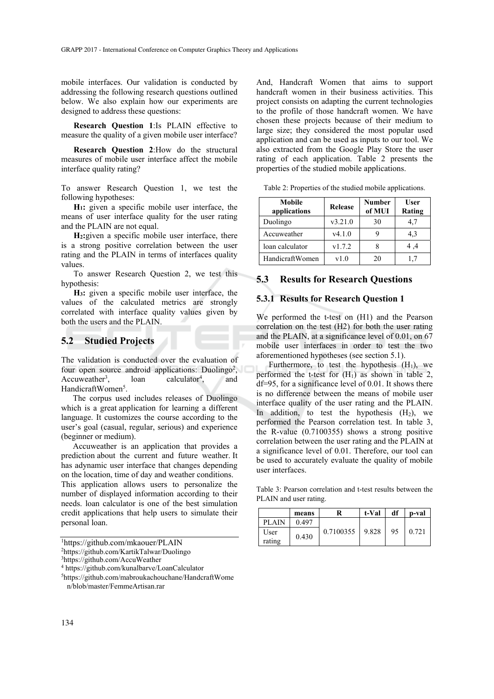mobile interfaces. Our validation is conducted by addressing the following research questions outlined below. We also explain how our experiments are designed to address these questions:

**Research Question 1**:Is PLAIN effective to measure the quality of a given mobile user interface?

**Research Question 2**:How do the structural measures of mobile user interface affect the mobile interface quality rating?

To answer Research Question 1, we test the following hypotheses:

**H1:** given a specific mobile user interface, the means of user interface quality for the user rating and the PLAIN are not equal.

**H2:**given a specific mobile user interface, there is a strong positive correlation between the user rating and the PLAIN in terms of interfaces quality values.

To answer Research Question 2, we test this hypothesis:

**H3:** given a specific mobile user interface, the values of the calculated metrics are strongly correlated with interface quality values given by both the users and the PLAIN.

## **5.2 Studied Projects**

The validation is conducted over the evaluation of four open source android applications: Duolingo<sup>2</sup>, Accuweather<sup>3</sup>.  $\lambda$ loan calculator<sup>4</sup>. , and HandicraftWomen<sup>5</sup>.

The corpus used includes releases of Duolingo which is a great application for learning a different language. It customizes the course according to the user's goal (casual, regular, serious) and experience (beginner or medium).

Accuweather is an application that provides a prediction about the current and future weather. It has adynamic user interface that changes depending on the location, time of day and weather conditions.

This application allows users to personalize the number of displayed information according to their needs. loan calculator is one of the best simulation credit applications that help users to simulate their personal loan.

2 https://github.com/KartikTalwar/Duolingo

And, Handcraft Women that aims to support handcraft women in their business activities. This project consists on adapting the current technologies to the profile of those handcraft women. We have chosen these projects because of their medium to large size; they considered the most popular used application and can be used as inputs to our tool. We also extracted from the Google Play Store the user rating of each application. Table 2 presents the properties of the studied mobile applications.

| Table 2: Properties of the studied mobile applications. |  |  |  |  |  |  |
|---------------------------------------------------------|--|--|--|--|--|--|
|---------------------------------------------------------|--|--|--|--|--|--|

| Mobile<br>applications | Release | <b>Number</b><br>of MUI | User<br>Rating |  |
|------------------------|---------|-------------------------|----------------|--|
| Duolingo               | v3.21.0 | 30                      | 4.7            |  |
| Accuweather            | v4.1.0  |                         | 4,3            |  |
| loan calculator        | v1.7.2  |                         | 4.4            |  |
| HandicraftWomen        | v1.0    | 20                      | 17             |  |

### **5.3 Results for Research Questions**

#### **5.3.1 Results for Research Question 1**

We performed the t-test on (H1) and the Pearson correlation on the test (H2) for both the user rating and the PLAIN, at a significance level of 0.01, on 67 mobile user interfaces in order to test the two aforementioned hypotheses (see section 5.1).

Furthermore, to test the hypothesis  $(H_1)$ , we performed the t-test for  $(H_1)$  as shown in table 2, df=95, for a significance level of 0.01. It shows there is no difference between the means of mobile user interface quality of the user rating and the PLAIN. In addition, to test the hypothesis  $(H<sub>2</sub>)$ , we performed the Pearson correlation test. In table 3, the R-value (0.7100355) shows a strong positive correlation between the user rating and the PLAIN at a significance level of 0.01. Therefore, our tool can be used to accurately evaluate the quality of mobile user interfaces.

Table 3: Pearson correlation and t-test results between the PLAIN and user rating.

|                | means |                     | t-Val | df | p-val |
|----------------|-------|---------------------|-------|----|-------|
| <b>PLAIN</b>   | 0.497 |                     |       |    |       |
| User<br>rating | 0.430 | $0.7100355$   9.828 |       | 95 | 0.721 |

<sup>1</sup> https://github.com/mkaouer/PLAIN

<sup>3</sup>https://github.com/AccuWeather

<sup>4</sup> https://github.com/kunalbarve/LoanCalculator 5https://github.com/mabroukachouchane/HandcraftWome n/blob/master/FemmeArtisan.rar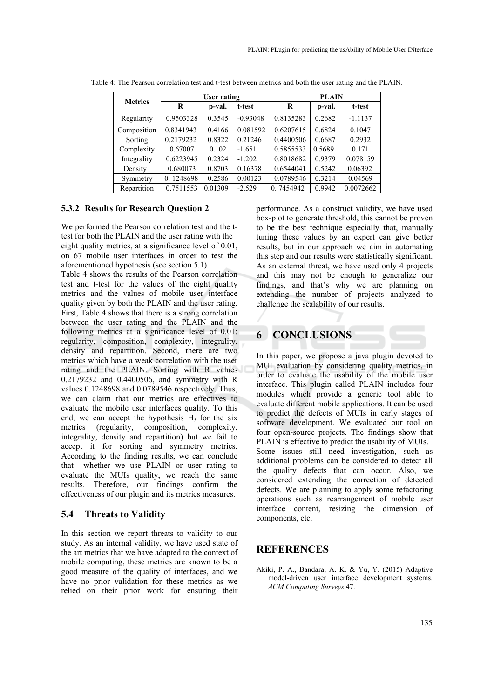| <b>Metrics</b> | User rating |         |            | <b>PLAIN</b> |        |           |
|----------------|-------------|---------|------------|--------------|--------|-----------|
|                | R           | p-val.  | t-test     | R            | p-val. | t-test    |
| Regularity     | 0.9503328   | 0.3545  | $-0.93048$ | 0.8135283    | 0.2682 | $-1.1137$ |
| Composition    | 0.8341943   | 0.4166  | 0.081592   | 0.6207615    | 0.6824 | 0.1047    |
| Sorting        | 0.2179232   | 0.8322  | 0.21246    | 0.4400506    | 0.6687 | 0.2932    |
| Complexity     | 0.67007     | 0.102   | $-1.651$   | 0.5855533    | 0.5689 | 0.171     |
| Integrality    | 0.6223945   | 0.2324  | $-1.202$   | 0.8018682    | 0.9379 | 0.078159  |
| Density        | 0.680073    | 0.8703  | 0.16378    | 0.6544041    | 0.5242 | 0.06392   |
| Symmetry       | 0.1248698   | 0.2586  | 0.00123    | 0.0789546    | 0.3214 | 0.04569   |
| Repartition    | 0.7511553   | 0.01309 | $-2.529$   | 0.7454942    | 0.9942 | 0.0072662 |

Table 4: The Pearson correlation test and t-test between metrics and both the user rating and the PLAIN.

#### **5.3.2 Results for Research Question 2**

We performed the Pearson correlation test and the ttest for both the PLAIN and the user rating with the eight quality metrics, at a significance level of 0.01, on 67 mobile user interfaces in order to test the aforementioned hypothesis (see section 5.1).

Table 4 shows the results of the Pearson correlation test and t-test for the values of the eight quality metrics and the values of mobile user interface quality given by both the PLAIN and the user rating. First, Table 4 shows that there is a strong correlation between the user rating and the PLAIN and the following metrics at a significance level of 0.01: regularity, composition, complexity, integrality, density and repartition. Second, there are two metrics which have a weak correlation with the user rating and the PLAIN. Sorting with R values 0.2179232 and 0.4400506, and symmetry with R values 0.1248698 and 0.0789546 respectively. Thus, we can claim that our metrics are effectives to evaluate the mobile user interfaces quality. To this end, we can accept the hypothesis  $H_3$  for the six metrics (regularity, composition, complexity, integrality, density and repartition) but we fail to accept it for sorting and symmetry metrics. According to the finding results, we can conclude that whether we use PLAIN or user rating to evaluate the MUIs quality, we reach the same results. Therefore, our findings confirm the effectiveness of our plugin and its metrics measures.

### **5.4 Threats to Validity**

In this section we report threats to validity to our study. As an internal validity, we have used state of the art metrics that we have adapted to the context of mobile computing, these metrics are known to be a good measure of the quality of interfaces, and we have no prior validation for these metrics as we relied on their prior work for ensuring their

performance. As a construct validity, we have used box-plot to generate threshold, this cannot be proven to be the best technique especially that, manually tuning these values by an expert can give better results, but in our approach we aim in automating this step and our results were statistically significant. As an external threat, we have used only 4 projects and this may not be enough to generalize our findings, and that's why we are planning on extending the number of projects analyzed to challenge the scalability of our results.

# **6 CONCLUSIONS**

In this paper, we propose a java plugin devoted to MUI evaluation by considering quality metrics, in order to evaluate the usability of the mobile user interface. This plugin called PLAIN includes four modules which provide a generic tool able to evaluate different mobile applications. It can be used to predict the defects of MUIs in early stages of software development. We evaluated our tool on four open-source projects. The findings show that PLAIN is effective to predict the usability of MUIs. Some issues still need investigation, such as additional problems can be considered to detect all the quality defects that can occur. Also, we considered extending the correction of detected defects. We are planning to apply some refactoring operations such as rearrangement of mobile user interface content, resizing the dimension of components, etc.

# **REFERENCES**

Akiki, P. A., Bandara, A. K. & Yu, Y. (2015) Adaptive model-driven user interface development systems. *ACM Computing Surveys* 47.